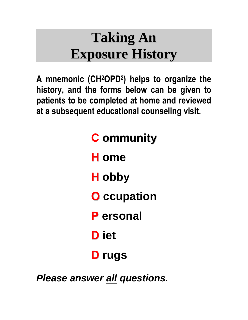# **Taking An Exposure History**

**A mnemonic (CH2OPD<sup>2</sup> ) helps to organize the history, and the forms below can be given to patients to be completed at home and reviewed at a subsequent educational counseling visit.** 

# **C ommunity**

**H ome**

**H obby**

**O ccupation**

**P ersonal**

**D iet**

# **D rugs**

*Please answer all questions.*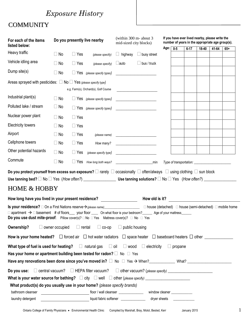# *Exposure History*

### **COMMUNITY**

| For each of the items<br>listed below:                                                                                                                                                                                                   |                                         |               | (within 300 m- about 3)<br>Do you presently live nearby<br>mid-sized city blocks) |                       |                                                                                                                       |      |                |          |       | If you have ever lived nearby, please write the<br>number of years in the appropriate age group(s). |       |
|------------------------------------------------------------------------------------------------------------------------------------------------------------------------------------------------------------------------------------------|-----------------------------------------|---------------|-----------------------------------------------------------------------------------|-----------------------|-----------------------------------------------------------------------------------------------------------------------|------|----------------|----------|-------|-----------------------------------------------------------------------------------------------------|-------|
| Heavy traffic                                                                                                                                                                                                                            | $\Box$ No                               | $\Box$ Yes    | (please specify)                                                                  | $\Box$ highway        | $\Box$ busy street                                                                                                    | Age: | $0-5$          | $6 - 17$ | 18-40 | 41-64                                                                                               | $65+$ |
| Vehicle idling area                                                                                                                                                                                                                      | $\Box$ No                               | $\Box$ Yes    | (please specify)                                                                  | $\Box$ auto           | $\Box$ bus / truck                                                                                                    |      |                |          |       |                                                                                                     |       |
| Dump site(s)                                                                                                                                                                                                                             | $\Box$ No                               |               | $\Box$ Yes (please specify types)                                                 |                       | <u> 1980 - Jan Barbara Barbara, prima prima prima prima prima prima prima prima prima prima prima prima prima pri</u> |      |                |          |       |                                                                                                     |       |
| Areas sprayed with pesticides: $\Box$ No $\Box$ Yes (please specify type)                                                                                                                                                                |                                         |               |                                                                                   |                       |                                                                                                                       |      |                |          |       |                                                                                                     |       |
|                                                                                                                                                                                                                                          |                                         |               | e.g. Farm(s), Orchard(s), Golf Course                                             |                       | <u> 1980 - Andrea Station Barbara, amerikan per</u>                                                                   |      |                |          |       |                                                                                                     |       |
| Industrial plant(s)                                                                                                                                                                                                                      | $\Box$ No                               |               | $\Box$ Yes (please specify types) $\Box$                                          |                       |                                                                                                                       |      |                |          |       |                                                                                                     |       |
| Polluted lake / stream                                                                                                                                                                                                                   | $\Box$ No                               |               | $\Box$ Yes (please specify types) $\Box$                                          |                       |                                                                                                                       |      |                |          |       |                                                                                                     |       |
| Nuclear power plant                                                                                                                                                                                                                      | $\Box$ No                               | $\Box$ Yes    |                                                                                   |                       |                                                                                                                       |      |                |          |       |                                                                                                     |       |
| <b>Electricity towers</b>                                                                                                                                                                                                                | $\Box$ No                               | $\Box$ Yes    |                                                                                   |                       |                                                                                                                       |      |                |          |       |                                                                                                     |       |
| Airport                                                                                                                                                                                                                                  | $\Box$ No                               | $\Box$ Yes    |                                                                                   |                       | $(\text{please name})$                                                                                                |      |                |          |       |                                                                                                     |       |
| Cellphone towers                                                                                                                                                                                                                         | $\Box$ No                               | $\Box$ Yes    | How many?                                                                         |                       |                                                                                                                       |      |                |          |       |                                                                                                     |       |
| Other potential hazards                                                                                                                                                                                                                  | $\Box$ No                               | $\Box$ Yes    |                                                                                   |                       |                                                                                                                       |      |                |          |       |                                                                                                     |       |
| Commute                                                                                                                                                                                                                                  | $\Box$ No                               | $\Box$ Yes    |                                                                                   |                       |                                                                                                                       |      |                |          |       |                                                                                                     |       |
| Do you protect yourself from excess sun exposure? $\Box$ rarely $\Box$ occasionally $\Box$ often/always $\Box$ using clothing $\Box$ sun block                                                                                           |                                         |               |                                                                                   |                       |                                                                                                                       |      |                |          |       |                                                                                                     |       |
|                                                                                                                                                                                                                                          |                                         |               |                                                                                   |                       |                                                                                                                       |      |                |          |       |                                                                                                     |       |
| <b>HOME &amp; HOBBY</b>                                                                                                                                                                                                                  |                                         |               |                                                                                   |                       |                                                                                                                       |      |                |          |       |                                                                                                     |       |
| How long have you lived in your present residence? ____________________                                                                                                                                                                  |                                         |               |                                                                                   |                       | How old is it? _________________________                                                                              |      |                |          |       |                                                                                                     |       |
| $\Box$ apartment $\rightarrow$ $\Box$ basement # of floors____ your floor _____ On what floor is your bedroom?______ Age of your mattress______<br>Do you use dust mite-proof: Pillow cover(s)? □ No □ Yes Mattress cover(s)? □ No □ Yes |                                         |               |                                                                                   |                       |                                                                                                                       |      |                |          |       |                                                                                                     |       |
| Ownership?                                                                                                                                                                                                                               | $\Box$ owner occupied                   | $\Box$ rental | $\Box$ co-op                                                                      | $\Box$ public housing |                                                                                                                       |      |                |          |       |                                                                                                     |       |
| How is your home heated? $\Box$ forced air $\Box$ hot water radiators $\Box$ space heater $\Box$ baseboard heaters $\Box$ other $\Box$                                                                                                   |                                         |               |                                                                                   |                       |                                                                                                                       |      |                |          |       |                                                                                                     |       |
| What type of fuel is used for heating? $\square$ natural gas $\square$ oil $\square$ wood $\square$ electricity                                                                                                                          |                                         |               |                                                                                   |                       |                                                                                                                       |      | $\Box$ propane |          |       |                                                                                                     |       |
| Has your home or apartment building been tested for radon? $\square$ No $\square$ Yes                                                                                                                                                    |                                         |               |                                                                                   |                       |                                                                                                                       |      |                |          |       |                                                                                                     |       |
| Have any renovations been done since you've moved in? $\Box$ No $\Box$ Yes $\rightarrow$ When? What? What?                                                                                                                               |                                         |               |                                                                                   |                       |                                                                                                                       |      |                |          |       |                                                                                                     |       |
| Do you use: $\Box$ central vacuum? $\Box$ HEPA filter vacuum? $\Box$ other vacuum? (please specify) $\Box$                                                                                                                               |                                         |               |                                                                                   |                       |                                                                                                                       |      |                |          |       |                                                                                                     |       |
| What product(s) do you usually use in your home? (please specify brands)                                                                                                                                                                 |                                         |               |                                                                                   |                       |                                                                                                                       |      |                |          |       |                                                                                                     |       |
| bathroom cleanser                                                                                                                                                                                                                        | <u> 1989 - Johann Barbara, martin a</u> |               | floor / wall cleanser _______________________ window cleaner ______________       |                       |                                                                                                                       |      |                |          |       |                                                                                                     |       |
| laundry detergent                                                                                                                                                                                                                        |                                         |               | liquid fabric softener ___________________ dryer sheets __________________        |                       |                                                                                                                       |      |                |          |       |                                                                                                     |       |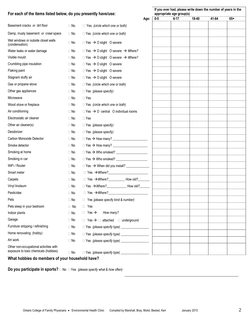| For each of the items listed below, do you presently have/use:                  |           | If you ever had, please write down the number of years in the<br>appropriate age group(s) |      |       |          |       |       |       |
|---------------------------------------------------------------------------------|-----------|-------------------------------------------------------------------------------------------|------|-------|----------|-------|-------|-------|
|                                                                                 |           |                                                                                           | Age: | $0-5$ | $6 - 17$ | 18-40 | 41-64 | $65+$ |
| Basement cracks or dirt floor                                                   | $\Box$ No | $\Box$ Yes (circle which one or both)                                                     |      |       |          |       |       |       |
| Damp, musty basement or crawl space                                             | $\Box$ No | $\Box$ Yes (circle which one or both)                                                     |      |       |          |       |       |       |
| Wet windows or outside closet walls<br>(condensation)                           | $\Box$ No | $\Box$ Yes $\rightarrow$ O slight O severe                                                |      |       |          |       |       |       |
| Water leaks or water damage                                                     | $\Box$ No | $\Box$ Yes $\rightarrow$ O slight O severe $\rightarrow$ Where?                           |      |       |          |       |       |       |
| Visible mould                                                                   | $\Box$ No | $\Box$ Yes $\rightarrow$ O slight O severe $\rightarrow$ Where?                           |      |       |          |       |       |       |
| Crumbling pipe insulation                                                       | $\Box$ No | $\Box$ Yes $\rightarrow$ O slight O severe                                                |      |       |          |       |       |       |
| Flaking paint                                                                   | $\Box$ No | $\Box$ Yes $\rightarrow$ O slight O severe                                                |      |       |          |       |       |       |
| Stagnant stuffy air                                                             | $\Box$ No | $\Box$ Yes $\rightarrow$ O slight O severe                                                |      |       |          |       |       |       |
| Gas or propane stove                                                            | $\Box$ No | $\Box$ Yes (circle which one or both)                                                     |      |       |          |       |       |       |
| Other gas appliances                                                            | $\Box$ No | $\Box$ Yes (please specify)                                                               |      |       |          |       |       |       |
| Microwave                                                                       | $\Box$ No | $\Box$ Yes                                                                                |      |       |          |       |       |       |
| Wood stove or fireplace                                                         | $\Box$ No | $\Box$ Yes (circle which one or both)                                                     |      |       |          |       |       |       |
| Air conditioning                                                                | $\Box$ No | $\Box$ Yes $\rightarrow$ O central O individual rooms                                     |      |       |          |       |       |       |
| Electrostatic air cleaner                                                       | $\Box$ No | $\Box$ Yes                                                                                |      |       |          |       |       |       |
| Other air cleaner(s)                                                            | $\Box$ No | $\Box$ Yes (please specify)                                                               |      |       |          |       |       |       |
| Deodorizer                                                                      | $\Box$ No | $\Box$ Yes (please specify)                                                               |      |       |          |       |       |       |
| Carbon Monoxide Detector                                                        | $\Box$ No | $\Box$ Yes $\rightarrow$ How many?                                                        |      |       |          |       |       |       |
| Smoke detector                                                                  | $\Box$ No | $\Box$ Yes $\rightarrow$ How many?                                                        |      |       |          |       |       |       |
| Smoking at home                                                                 | $\Box$ No | $\Box$ Yes $\rightarrow$ Who smoked?                                                      |      |       |          |       |       |       |
| Smoking in car                                                                  | $\Box$ No | $\Box$ Yes $\rightarrow$ Who smoked?                                                      |      |       |          |       |       |       |
| WiFi / Router                                                                   | $\Box$ No | $\Box$ Yes $\rightarrow$ When did you install?                                            |      |       |          |       |       |       |
| Smart meter                                                                     | $\Box$ No | $\Box$ Yes $\rightarrow$ Where?                                                           |      |       |          |       |       |       |
| Carpets                                                                         | $\Box$ No | $\Box$ Yes $\rightarrow$ Where? How old?                                                  |      |       |          |       |       |       |
| Vinyl linoleum                                                                  | $\Box$ No | $\Box$ Yes $\rightarrow$ Where? How old?                                                  |      |       |          |       |       |       |
| Pesticides                                                                      | $\Box$ No | $\Box$ Yes $\rightarrow$ Where?                                                           |      |       |          |       |       |       |
| Pets                                                                            | $\Box$ No | $\Box$ Yes (please specify kind & number)                                                 |      |       |          |       |       |       |
| Pets sleep in your bedroom                                                      | $\Box$ No | $\Box$ Yes                                                                                |      |       |          |       |       |       |
| Indoor plants                                                                   | $\Box$ No | $\Box$ Yes $\rightarrow$<br>How many?                                                     |      |       |          |       |       |       |
| Garage                                                                          | $\Box$ No | $\Box$ Yes $\rightarrow$ $\Box$ attached $\Box$ underground                               |      |       |          |       |       |       |
| Furniture stripping / refinishing                                               | $\Box$ No | □ Yes (please specify type) _________________                                             |      |       |          |       |       |       |
| Home renovating (hobby)                                                         | $\Box$ No | □ Yes (please specify type) _________________                                             |      |       |          |       |       |       |
| Art work                                                                        | $\Box$ No | □ Yes (please specify type) __________________                                            |      |       |          |       |       |       |
| Other non-occupational activities with<br>exposure to toxic chemicals (hobbies) | $\Box$ No | □ Yes (please specify type) _________________                                             |      |       |          |       |       |       |
|                                                                                 |           |                                                                                           |      |       |          |       |       |       |

#### **What hobbies do members of your household have?**

**Do you participate in sports?** □ No □ Yes (please specify what & how often)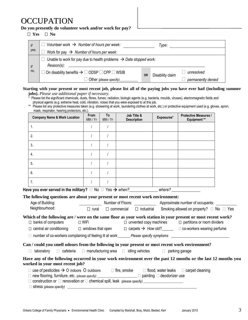## **OCCUPATION**

#### **Do you presently do volunteer work and/or work for pay?**

| н. | c<br>NO |
|----|---------|
|----|---------|

| If         | Volunteer work $\rightarrow$ Number of hours per week:<br>Type:                                 |           |                  |                    |  |  |  |  |  |
|------------|-------------------------------------------------------------------------------------------------|-----------|------------------|--------------------|--|--|--|--|--|
| yes,       | Work for pay $\rightarrow$ Number of hours per week:                                            |           |                  |                    |  |  |  |  |  |
| $\sqrt{f}$ | Unable to work for pay due to health problems $\rightarrow$ Date stopped work:<br>$Reason(s)$ : |           |                  |                    |  |  |  |  |  |
| no.        | On disability benefits $\rightarrow$ $\Box$ ODSP $\Box$ CPP $\Box$ WSIB                         | <b>OR</b> | Disability claim | unresolved         |  |  |  |  |  |
|            | Other (please specify)                                                                          |           |                  | permanently denied |  |  |  |  |  |

#### **Starting with your present or most recent job, please list all of the paying jobs you have ever had (including summer jobs).** *Please use additional paper if necessary.*

Please list the significant chemicals, dusts, fibres, fumes, radiation, biologic agents (e.g. bacteria, moulds, viruses), electromagnetic fields and physical agents (e.g. extreme heat, cold, vibration, noise) that you were exposed to at this job.

\*\* Please list any protective measures taken (e.g. showering at work, laundering clothes at work, etc.) or protective equipment used (e.g. gloves, apron, mask, respirator, hearing protectors, etc.).

| <b>Company Name &amp; Work Location</b>                                                                                                                                                                                                                                                                       | From<br>Mth / Yr | To<br>Mth / $Yr$ | Job Title &<br><b>Description</b> | Exposures* | <b>Protective Measures /</b><br><b>Equipment**</b>                                    |  |
|---------------------------------------------------------------------------------------------------------------------------------------------------------------------------------------------------------------------------------------------------------------------------------------------------------------|------------------|------------------|-----------------------------------|------------|---------------------------------------------------------------------------------------|--|
| $\mathbf{1}$ .                                                                                                                                                                                                                                                                                                | $\prime$         | $\prime$         |                                   |            |                                                                                       |  |
| 2.                                                                                                                                                                                                                                                                                                            | $\prime$         |                  |                                   |            |                                                                                       |  |
| 3.                                                                                                                                                                                                                                                                                                            | $\prime$         |                  |                                   |            |                                                                                       |  |
| 4.                                                                                                                                                                                                                                                                                                            |                  |                  |                                   |            |                                                                                       |  |
| 5 <sub>1</sub>                                                                                                                                                                                                                                                                                                |                  |                  |                                   |            |                                                                                       |  |
| 6.                                                                                                                                                                                                                                                                                                            | $\prime$         |                  |                                   |            |                                                                                       |  |
| 7 <sub>1</sub>                                                                                                                                                                                                                                                                                                | $\prime$         | $\sqrt{ }$       |                                   |            |                                                                                       |  |
| Have you ever served in the military? $\Box$ No $\Box$ Yes $\rightarrow$ when? Where? Where?                                                                                                                                                                                                                  |                  |                  |                                   |            |                                                                                       |  |
| The following questions are about your present or most recent work environment:                                                                                                                                                                                                                               |                  |                  |                                   |            |                                                                                       |  |
| Age of Building:                                                                                                                                                                                                                                                                                              |                  |                  |                                   |            | Number of Floors: Approximate number of occupants:                                    |  |
| Neighbourhood:                                                                                                                                                                                                                                                                                                | $\Box$ rural     |                  |                                   |            | $\Box$ commercial $\Box$ industrial Smoking allowed on property? $\Box$ No $\Box$ Yes |  |
| Which of the following are / were on the same floor as your work station in your present or most recent work?                                                                                                                                                                                                 |                  |                  |                                   |            |                                                                                       |  |
| $\Box$ banks of computers                                                                                                                                                                                                                                                                                     | $\square$ WiFi   |                  |                                   |            | $\Box$ unvented copy machines $\Box$ partitions or room dividers                      |  |
| $\Box$ central air conditioning $\Box$ windows that open $\Box$ carpets $\rightarrow$ How old? $\Box$ $\Box$ co-workers wearing perfume                                                                                                                                                                       |                  |                  |                                   |            |                                                                                       |  |
|                                                                                                                                                                                                                                                                                                               |                  |                  |                                   |            |                                                                                       |  |
| Can / could you smell odours from the following in your present or most recent work environment?                                                                                                                                                                                                              |                  |                  |                                   |            |                                                                                       |  |
| $\Box$ laboratory $\Box$ cafeteria $\Box$ manufacturing area $\Box$ idling vehicles $\Box$ parking garage                                                                                                                                                                                                     |                  |                  |                                   |            |                                                                                       |  |
|                                                                                                                                                                                                                                                                                                               |                  |                  |                                   |            |                                                                                       |  |
| Have any of the following occurred in your work environment over the past 12 months or the last 12 months you<br>worked in your most recent job?                                                                                                                                                              |                  |                  |                                   |            |                                                                                       |  |
| $\Box$ use of pesticides $\rightarrow$ O indoors O outdoors $\Box$ fire, smoke $\Box$ flood, water leaks $\Box$ carpet cleaning<br>□ new flooring, furniture, etc. (please specify)<br>□ painting □ deodorizer use<br>$\Box$ construction or $\Box$ reposedion or $\Box$ shomical spill look (state case if ) |                  |                  |                                   |            |                                                                                       |  |

 $\Box$  construction or  $\Box$  renovation or  $\Box$  chemical spill, leak *(please specify)* 

 $\Box$  stress *(please specify)*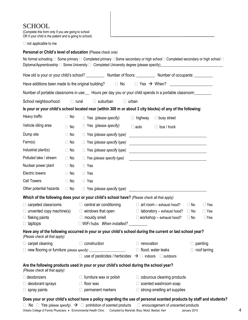### **SCHOOL**

| (Complete this form only if you are going to school     |  |
|---------------------------------------------------------|--|
| OR if your child is the patient and is going to school) |  |

 $\Box$  not applicable to me

#### **Personal or Child's level of education** (Please check one)

|                                                                                                                                            |                                                          |                                 |                                                                     |                                   | How old is your or your child's school? ____________ Number of floors: ___________ Number of occupants: ________      |                         |
|--------------------------------------------------------------------------------------------------------------------------------------------|----------------------------------------------------------|---------------------------------|---------------------------------------------------------------------|-----------------------------------|-----------------------------------------------------------------------------------------------------------------------|-------------------------|
| Have additions been made to the original building? $\Box$ No $\Box$ Yes $\rightarrow$ When? $\Box$                                         |                                                          |                                 |                                                                     |                                   |                                                                                                                       |                         |
| Number of portable classrooms in use: Hours per day you or your child spends in a portable classroom:                                      |                                                          |                                 |                                                                     |                                   |                                                                                                                       |                         |
| School neighbourhood:                                                                                                                      |                                                          | $\Box$ rural                    | $\Box$ suburban                                                     | $\Box$ urban                      |                                                                                                                       |                         |
| Is your or your child's school located near (within 300 m or about 3 city blocks) of any of the following:                                 |                                                          |                                 |                                                                     |                                   |                                                                                                                       |                         |
| Heavy traffic                                                                                                                              | $\Box$ No                                                | $\Box$ Yes (please specify)     |                                                                     | $\Box$ highway                    | $\Box$ busy street                                                                                                    |                         |
| Vehicle idling area                                                                                                                        | $\Box$ No                                                | $\Box$ Yes (please specify)     |                                                                     | $\Box$ auto                       | $\Box$ bus / truck                                                                                                    |                         |
| Dump site                                                                                                                                  | $\Box$ No                                                |                                 | $\Box$ Yes (please specify type)                                    |                                   |                                                                                                                       |                         |
| Farm(s)                                                                                                                                    | $\Box$ No                                                |                                 | $\Box$ Yes (please specify type)                                    |                                   |                                                                                                                       |                         |
| Industrial plant(s)                                                                                                                        | $\Box$ No                                                |                                 | $\Box$ Yes (please specify type)                                    |                                   | <u> 1989 - Johann Barn, mars eta bainar eta bat erroman erroman erroman erroman erroman erroman erroman erroman e</u> |                         |
| Polluted lake / stream                                                                                                                     | $\Box$ No                                                |                                 | $\Box$ Yes (please specify type)                                    |                                   | <u> 1989 - Johann Barbara, martin amerikan basar dan berasal dalam basa dalam basar dalam basar dalam basa dalam</u>  |                         |
| Nuclear power plant                                                                                                                        | $\Box$ No                                                | $\Box$ Yes                      |                                                                     |                                   |                                                                                                                       |                         |
| Electric towers                                                                                                                            | $\Box$ No                                                | $\Box$ Yes                      |                                                                     |                                   |                                                                                                                       |                         |
| <b>Cell Towers</b>                                                                                                                         | $\Box$ No                                                | $\Box$ Yes                      |                                                                     |                                   |                                                                                                                       |                         |
| Other potential hazards                                                                                                                    | $\Box$ No                                                |                                 |                                                                     |                                   | $\Box$ Yes (please specify type)                                                                                      |                         |
| Which of the following does your or your child's school have? (Please check all that apply)                                                |                                                          |                                 |                                                                     |                                   |                                                                                                                       |                         |
| $\Box$ carpeted classrooms                                                                                                                 |                                                          | $\Box$ central air conditioning |                                                                     | $\Box$ art room – exhaust hood?   |                                                                                                                       | $\Box$ No<br>$\Box$ Yes |
| $\Box$ unvented copy machine(s)                                                                                                            |                                                          | $\Box$ windows that open        |                                                                     | $\Box$ laboratory - exhaust hood? |                                                                                                                       | $\Box$ No<br>$\Box$ Yes |
| $\Box$ flaking paints                                                                                                                      |                                                          |                                 | $\Box$ mouldy smell                                                 |                                   | $\Box$ workshop – exhaust hood?                                                                                       |                         |
| $\Box$ laptops                                                                                                                             |                                                          |                                 | □ WiFi hubs When installed? ________                                |                                   |                                                                                                                       |                         |
| Have any of the following occurred in your or your child's school during the current or last school year?<br>(Please check all that apply) |                                                          |                                 |                                                                     |                                   |                                                                                                                       |                         |
| $\Box$ carpet cleaning                                                                                                                     |                                                          | $\Box$ construction             |                                                                     | $\Box$ renovation                 |                                                                                                                       | $\Box$ painting         |
|                                                                                                                                            | $\Box$ new flooring or furniture (please specify) $\Box$ |                                 |                                                                     |                                   | $\Box$ flood, water leaks                                                                                             | $\Box$ roof tarring     |
|                                                                                                                                            |                                                          |                                 | □ use of pesticides / herbicides $\rightarrow$ □ indoors □ outdoors |                                   |                                                                                                                       |                         |
| Are the following products used in your or your child's school during the school year?<br>(Please check all that apply)                    |                                                          |                                 |                                                                     |                                   |                                                                                                                       |                         |
| $\Box$ deodorizers                                                                                                                         |                                                          | $\Box$ furniture wax or polish  |                                                                     |                                   | $\Box$ odourous cleaning products                                                                                     |                         |
|                                                                                                                                            | $\Box$ deodorant sprays                                  |                                 |                                                                     | $\Box$ scented washroom soap      |                                                                                                                       |                         |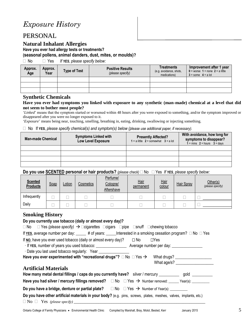## *Exposure History*

### PERSONAL

#### **Natural Inhalant Allergies**

**Have you ever had allergy tests or treatments?**

**(seasonal pollens, animal danders, dust, mites, or moulds)?**

No Yes *If YES, please specify below:*

| Approx.<br>Age | Approx.<br>Year | <b>Type of Test</b> | <b>Positive Results</b><br>(please specify) | Treatments<br>(e.g. avoidance, shots,<br>medications) | Improvement after 1 year<br>$0 =$ worse $1 =$ none $2 =$ a little<br>$3 =$ some $4 =$ a lot |
|----------------|-----------------|---------------------|---------------------------------------------|-------------------------------------------------------|---------------------------------------------------------------------------------------------|
|                |                 |                     |                                             |                                                       |                                                                                             |
|                |                 |                     |                                             |                                                       |                                                                                             |
|                |                 |                     |                                             |                                                       |                                                                                             |

#### **Synthetic Chemicals**

#### **Have you ever had symptoms you linked with exposure to any synthetic (man-made) chemical at a level that did not seem to bother most people?**

'*Linked*' means that the symptom started or worsened within 48 hours after you were exposed to something, and/or the symptom improved or disappeared after you were no longer exposed to it.

'*Exposure*' means being near, touching, smelling, breathing in, eating, drinking, swallowing or injecting something.

No If **YES**, *please specify chemical(s) and symptom(s) below (please use additional paper, if necessary).*

| <b>Man-made Chemical</b> | <b>Symptoms Linked with</b><br>Low Level Exposure | <b>Presently Affected?</b><br>1 = a little $2$ = somewhat $3$ = a lot | With avoidance, how long for<br>symptoms to disappear?<br>$1 = mins$ 2 = hours 3 = days |
|--------------------------|---------------------------------------------------|-----------------------------------------------------------------------|-----------------------------------------------------------------------------------------|
|                          |                                                   |                                                                       |                                                                                         |
|                          |                                                   |                                                                       |                                                                                         |
|                          |                                                   |                                                                       |                                                                                         |
|                          |                                                   |                                                                       |                                                                                         |

#### **Do you use SCENTED personal or hair products?** (please check) □ No □ Yes If **YES**, please specify below:

| <b>Scented</b><br><b>Products</b> | Soap | Lotion | Cosmetics | Perfume/<br>Cologne/<br>Aftershave | Hair<br>permanent | <u>Hair</u><br>colour | <b>Hair Spray</b> | Other(s)<br>(please specify) |
|-----------------------------------|------|--------|-----------|------------------------------------|-------------------|-----------------------|-------------------|------------------------------|
| Infrequently                      |      |        |           |                                    |                   |                       |                   |                              |
| Daily                             |      |        |           |                                    |                   |                       |                   |                              |

#### **Smoking History**

#### **Do you currently use tobacco (daily or almost every day)?**

 $\Box$  No  $\Box$  Yes *(please specify)*  $\rightarrow$   $\Box$ cigarettes  $\Box$ cigars  $\Box$ pipe  $\Box$ snuff  $\Box$ chewing tobacco

If YES, average number per day: \_\_\_\_\_ # of years: \_\_\_\_\_Interested in a smoking cessation program?  $\Box$  No  $\Box$  Yes

If **NO**, have you ever used tobacco (daily or almost every day)?  $\Box$  No  $\Box$  Yes

· If **YES**, number of years you used tobacco: \_\_\_\_\_\_\_\_\_\_\_\_\_\_\_ Average number per day: \_\_\_\_\_\_\_\_\_\_\_\_\_\_\_

· Date you last used tobacco regularly: Year \_\_\_\_\_\_\_\_\_\_\_\_\_\_\_

| Have you ever experimented with "recreational drugs"? $\Box$ No $\Box$ Yes $\bm{\rightarrow}$ | What drugs? |
|-----------------------------------------------------------------------------------------------|-------------|
|                                                                                               | What age/s? |

#### **Artificial Materials**

| How many metal dental fillings / caps do you currently have? silver / mercury _________                           |  |  | gold _____ |  |  |  |  |
|-------------------------------------------------------------------------------------------------------------------|--|--|------------|--|--|--|--|
| Have you had silver / mercury fillings removed? $\square$ No $\square$ Yes $\rightarrow$ Number removed: Year(s): |  |  |            |  |  |  |  |
| Do you have a bridge, denture or partial plate? $\square$ No $\square$ Yes $\rightarrow$ Number of Year(s):       |  |  |            |  |  |  |  |
| Do you have other artificial materials in your body? (e.g. pins, screws, plates, meshes, valves, implants, etc.)  |  |  |            |  |  |  |  |
|                                                                                                                   |  |  |            |  |  |  |  |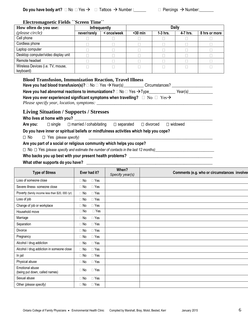|  | Do you have body art? $\Box$ No $\Box$ Yes $\rightarrow$ $\Box$ Tattoos $\rightarrow$ Number : | $\Box$ Piercings $\rightarrow$ Number: |
|--|------------------------------------------------------------------------------------------------|----------------------------------------|
|--|------------------------------------------------------------------------------------------------|----------------------------------------|

#### **Electromagnetic Fields ``Screen Time``**

| How often do you use:                          | <b>Infrequently</b> |             | <b>Daily</b> |            |          |               |
|------------------------------------------------|---------------------|-------------|--------------|------------|----------|---------------|
| (please circle)                                | never/rarely        | < once/week | $30 min$     | $1-3$ hrs. | 4-7 hrs. | 8 hrs or more |
| Cell phone                                     |                     |             |              |            |          |               |
| Cordless phone                                 |                     |             |              |            |          |               |
| Laptop computer                                |                     |             |              |            |          |               |
| Desktop computer/video display unit            |                     |             |              |            |          |               |
| Remote headset                                 |                     |             |              |            |          |               |
| Wireless Devices (i.e. TV, mouse,<br>keyboard) |                     |             |              |            |          |               |

#### **Blood Transfusion, Immunization Reaction, Travel Illness**

| Have you had blood transfusion(s)? $\Box$ No $\Box$ Yes $\rightarrow$ Year(s)<br>Circumstances?                                                      |         |
|------------------------------------------------------------------------------------------------------------------------------------------------------|---------|
| Have you had abnormal reactions to immunizations? $\square$ No $\square$ Yes $\rightarrow$ Type                                                      | Year(s) |
| Have you ever experienced significant symptoms when travelling? $\square$ No $\square$ Yes $\rightarrow$<br>Please specify year, location, symptoms: |         |
| <b>Living Situation / Supports / Stresses</b><br>Who lives at home with you?                                                                         |         |

Who lives at nome with you *s* 

| Are you: | $\square$ single | $\Box$ married / cohabitating $\Box$ separated |  | $\Box$ divorced $\Box$ widowed |
|----------|------------------|------------------------------------------------|--|--------------------------------|
|          |                  |                                                |  |                                |

**Do you have inner or spiritual beliefs or mindfulness activities which help you cope?**

 $\Box$  No  $\Box$  Yes (please specify)

#### **Are you part of a social or religious community which helps you cope?**

No Yes *(please specify and estimate the number of contacts in the last 12 months)*\_\_\_\_\_\_\_\_\_\_\_\_\_\_\_\_\_\_\_\_\_\_\_\_\_\_\_\_\_

#### **Who backs you up best with your present health problems?** \_\_\_\_\_\_\_\_\_\_\_\_\_\_\_\_\_\_\_\_\_\_\_\_\_\_\_\_\_\_\_\_\_\_\_\_\_\_\_\_\_

#### What other supports do you have? **What of the supports of you have?**

| <b>Type of Stress</b>                             | Ever had it?            | When?<br>Specify year(s) | Comments (e.g. who or circumstances involved |
|---------------------------------------------------|-------------------------|--------------------------|----------------------------------------------|
| Loss of someone close                             | $\Box$ Yes<br>$\Box$ No |                          |                                              |
| Severe illness- someone close                     | $\Box$ Yes<br>$\Box$ No |                          |                                              |
| Poverty (family income less than \$20, 000 /yr)   | $\Box$ Yes<br>$\Box$ No |                          |                                              |
| Loss of job                                       | $\Box$ Yes<br>$\Box$ No |                          |                                              |
| Change of job or workplace                        | $\Box$ Yes<br>$\Box$ No |                          |                                              |
| Household move                                    | $\Box$ Yes<br>$\Box$ No |                          |                                              |
| Marriage                                          | $\Box$ Yes<br>$\Box$ No |                          |                                              |
| Separation                                        | $\Box$ Yes<br>$\Box$ No |                          |                                              |
| Divorce                                           | $\Box$ Yes<br>$\Box$ No |                          |                                              |
| Pregnancy                                         | $\Box$ Yes<br>$\Box$ No |                          |                                              |
| Alcohol / drug addiction                          | $\Box$ Yes<br>$\Box$ No |                          |                                              |
| Alcohol / drug addiction in someone close         | $\Box$ No<br>$\Box$ Yes |                          |                                              |
| In jail                                           | $\Box$ Yes<br>$\Box$ No |                          |                                              |
| Physical abuse                                    | $\Box$ No<br>$\Box$ Yes |                          |                                              |
| Emotional abuse<br>(being put down, called names) | $\Box$ Yes<br>$\Box$ No |                          |                                              |
| Sexual abuse                                      | $\Box$ No<br>$\Box$ Yes |                          |                                              |
| Other (please specify)                            | $\Box$ Yes<br>$\Box$ No |                          |                                              |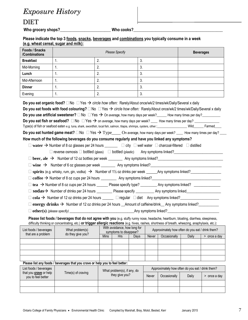# *Exposure History*

## DIET

Who grocery shops?\_\_\_\_\_\_\_\_\_\_\_\_\_\_\_\_\_\_\_\_\_\_\_\_\_\_\_\_\_\_\_\_\_Who cooks?\_

#### **Please indicate the top 3 foods, snacks, beverages and combinations you typically consume in a week (e.g. wheat cereal, sugar and milk):**

| Foods / Snacks<br>/Combinations                                                                                                                                                                                                                                                                                                                                                                                                                                                                                                                                                                                                                                                                                                             | <b>Please Specify</b>                                                                                                                                                                                                                                                                       |             |                                               |      |       | <b>Beverages</b>                                                 |       |                |
|---------------------------------------------------------------------------------------------------------------------------------------------------------------------------------------------------------------------------------------------------------------------------------------------------------------------------------------------------------------------------------------------------------------------------------------------------------------------------------------------------------------------------------------------------------------------------------------------------------------------------------------------------------------------------------------------------------------------------------------------|---------------------------------------------------------------------------------------------------------------------------------------------------------------------------------------------------------------------------------------------------------------------------------------------|-------------|-----------------------------------------------|------|-------|------------------------------------------------------------------|-------|----------------|
| <b>Breakfast</b>                                                                                                                                                                                                                                                                                                                                                                                                                                                                                                                                                                                                                                                                                                                            | 1.                                                                                                                                                                                                                                                                                          | 2.          |                                               | 3.   |       |                                                                  |       |                |
| Mid-Morning                                                                                                                                                                                                                                                                                                                                                                                                                                                                                                                                                                                                                                                                                                                                 | 1.                                                                                                                                                                                                                                                                                          | 2.          |                                               | 3.   |       |                                                                  |       |                |
| Lunch                                                                                                                                                                                                                                                                                                                                                                                                                                                                                                                                                                                                                                                                                                                                       | 1.                                                                                                                                                                                                                                                                                          | 2.          |                                               | 3.   |       |                                                                  |       |                |
| Mid-Afternoon                                                                                                                                                                                                                                                                                                                                                                                                                                                                                                                                                                                                                                                                                                                               | 1.                                                                                                                                                                                                                                                                                          | 2.          |                                               | 3.   |       |                                                                  |       |                |
| <b>Dinner</b>                                                                                                                                                                                                                                                                                                                                                                                                                                                                                                                                                                                                                                                                                                                               | 1 <sub>1</sub>                                                                                                                                                                                                                                                                              | 2.          |                                               | 3.   |       |                                                                  |       |                |
| Evening                                                                                                                                                                                                                                                                                                                                                                                                                                                                                                                                                                                                                                                                                                                                     | 1.                                                                                                                                                                                                                                                                                          | 2.          |                                               | 3.   |       |                                                                  |       |                |
| Do you eat organic food? $\Box$ No $\Box$ Yes $\rightarrow$ circle how often: Rarely/About once/wk/2 times/wk/Daily/Several x daily<br>Do you eat foods with food colouring? $\Box$ No $\Box$ Yes $\rightarrow$ circle how often: Rarely/About once/wk/2 times/wk/Daily/Several x daily<br>Do you use artificial sweetener? $\Box$ No $\Box$ Yes $\rightarrow$ On average, how many days per week? How many times per day?<br>Type(s) of fish or seafood eaten e.g. tuna, shark, swordfish, local fish, salmon, tilapia, shrimps, oysters, other.: _____________________Wild_______Farmed____<br>Do you eat hunted game meat? $\Box$ No $\Box$ Yes $\rightarrow$ Type_____ On average, how many days per week? ____ How many times per day? |                                                                                                                                                                                                                                                                                             |             |                                               |      |       |                                                                  |       |                |
| How much of the following beverages do you consume regularly and have you linked any symptoms?<br>$\Box$ water $\rightarrow$ Number of 8 oz glasses per 24 hours $\Box$ $\Box$ city $\Box$ well water $\Box$ charcoal-filtered $\Box$ distilled<br>$\Box$ reverse osmosis $\Box$ bottled (glass) $\Box$ bottled (plastic) Any symptoms linked?                                                                                                                                                                                                                                                                                                                                                                                              |                                                                                                                                                                                                                                                                                             |             |                                               |      |       |                                                                  |       |                |
|                                                                                                                                                                                                                                                                                                                                                                                                                                                                                                                                                                                                                                                                                                                                             | sodas → Number of drinks per 24 hours __________ Please specify ___________ Any symptoms linked_______________                                                                                                                                                                              |             |                                               |      |       |                                                                  |       |                |
|                                                                                                                                                                                                                                                                                                                                                                                                                                                                                                                                                                                                                                                                                                                                             | $\text{cola} \rightarrow$ Number of 12 oz drinks per 24 hours ______ $\Box$ regular $\Box$ diet Any symptoms linked?                                                                                                                                                                        |             |                                               |      |       |                                                                  |       |                |
|                                                                                                                                                                                                                                                                                                                                                                                                                                                                                                                                                                                                                                                                                                                                             | energy drinks $\rightarrow$ Number of 12 oz drinks per 24 hours _Amount of caffeine/drink _Any symptoms linked?                                                                                                                                                                             |             |                                               |      |       |                                                                  |       |                |
|                                                                                                                                                                                                                                                                                                                                                                                                                                                                                                                                                                                                                                                                                                                                             | $\Box$ other (s) (please specify) $\Box$ Any symptoms linked?                                                                                                                                                                                                                               |             |                                               |      |       |                                                                  |       |                |
|                                                                                                                                                                                                                                                                                                                                                                                                                                                                                                                                                                                                                                                                                                                                             | Please list foods / beverages that do not agree with you (e.g. stuffy runny nose, headache, heartburn, bloating, diarrhea, sleepiness,<br>difficulty thinking or concentrating, etc.) or trigger allergic reactions (e.g. hives, rashes, shortness of breath, wheezing, anaphylaxis, etc.): |             |                                               |      |       |                                                                  |       |                |
| that are a problem                                                                                                                                                                                                                                                                                                                                                                                                                                                                                                                                                                                                                                                                                                                          | List foods / beverages   What problem(s) With avoidance, how long for Approximately how often do you eat / drink them?<br>do they give you?                                                                                                                                                 |             | symptoms to disappear?                        |      |       |                                                                  |       |                |
|                                                                                                                                                                                                                                                                                                                                                                                                                                                                                                                                                                                                                                                                                                                                             |                                                                                                                                                                                                                                                                                             | <b>Mins</b> | <b>Hrs</b>                                    | Days | Never | Occasionally                                                     | Daily | $>$ once a day |
|                                                                                                                                                                                                                                                                                                                                                                                                                                                                                                                                                                                                                                                                                                                                             |                                                                                                                                                                                                                                                                                             |             |                                               |      |       |                                                                  |       |                |
|                                                                                                                                                                                                                                                                                                                                                                                                                                                                                                                                                                                                                                                                                                                                             |                                                                                                                                                                                                                                                                                             |             |                                               |      |       |                                                                  |       |                |
|                                                                                                                                                                                                                                                                                                                                                                                                                                                                                                                                                                                                                                                                                                                                             |                                                                                                                                                                                                                                                                                             |             |                                               |      |       |                                                                  |       |                |
|                                                                                                                                                                                                                                                                                                                                                                                                                                                                                                                                                                                                                                                                                                                                             | Please list any foods / beverages that you crave or help you to feel better:                                                                                                                                                                                                                |             |                                               |      |       |                                                                  |       |                |
| List foods / beverages<br>that you <b>crave</b> or help<br>you to feel better                                                                                                                                                                                                                                                                                                                                                                                                                                                                                                                                                                                                                                                               | Time(s) of craving                                                                                                                                                                                                                                                                          |             | What problem(s), if any, do<br>they give you? |      | Never | Approximately how often do you eat / drink them?<br>Occasionally | Daily | $>$ once a day |
|                                                                                                                                                                                                                                                                                                                                                                                                                                                                                                                                                                                                                                                                                                                                             |                                                                                                                                                                                                                                                                                             |             |                                               |      |       |                                                                  |       |                |
|                                                                                                                                                                                                                                                                                                                                                                                                                                                                                                                                                                                                                                                                                                                                             |                                                                                                                                                                                                                                                                                             |             |                                               |      |       |                                                                  |       |                |